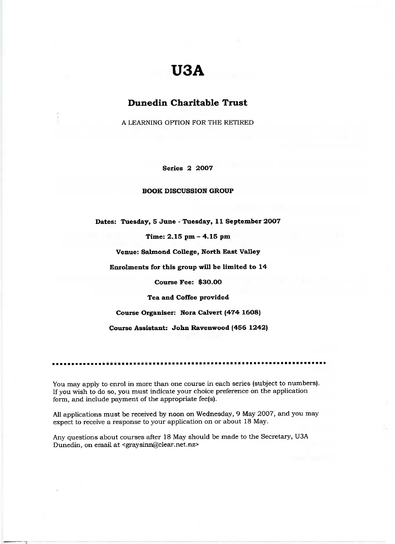# **U3A**

### **Dunedin Charitable Trust**

A LEARNING OPTION FOR THE RETIRED

**Series 2 2007**

#### **BOOK DISCUSSION GROUP**

**Dates: Tuesday, 5 June - Tuesday, 11 September 2007**

Time: **2.15** pm - 4.15 pm

**Venue: Salmond College, North East Valley**

**Enrolments for this group will be limited to 14**

**Course Fee: \$30.00**

**Tea and Coffee provided**

**Course Organiser: Nora Calvert (474 1608)**

**Course Assistant: John Ravenwood (456 1242)**

You may apply to enrol in more than one course in each series (subject to numbers). If you wish to do so, you must indicate your choice preference on the application form, and include payment of the appropriate fee(s).

All applications must be received by noon on Wednesday, 9 May 2007, and you may expect to receive a response to your application on or about 18 May.

Any questions about courses after 18 May should be made to the Secretary, U3A Dunedin, on email at <graysinn@clear.net.nz>